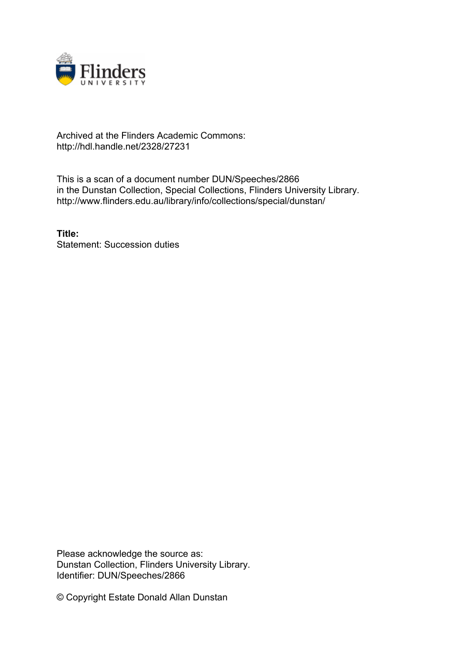

## Archived at the Flinders Academic Commons: http://hdl.handle.net/2328/27231

This is a scan of a document number DUN/Speeches/2866 in the Dunstan Collection, Special Collections, Flinders University Library. http://www.flinders.edu.au/library/info/collections/special/dunstan/

**Title:** Statement: Succession duties

Please acknowledge the source as: Dunstan Collection, Flinders University Library. Identifier: DUN/Speeches/2866

© Copyright Estate Donald Allan Dunstan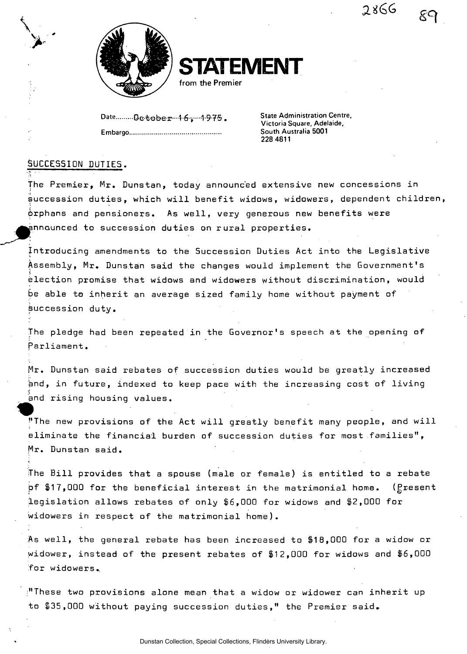2866



**STATEMENT** 

**from the Premier** 

Date.......... De tobe r ··· 1.6 . ··· 1.975. Embargo

**State Administration Centre, Victoria Square, Adelaide, South Australia 5001 228 4811** 

## SUCCESSION DUTIES.

**\** 

 $\blacktriangleright$ 

The Premier, Mr. Dunstan, today announced extensive new concessions in succession duties, which will benefit widows, widowers, dependent children, drphans and pensioners. As well, very generous new benefits were nnaunced to succession duties on rural properties.

Introducing amendments to the Succession Duties Act into the Legislative Assembly, Mr. Dunstan said the changes would implement the Government's  $\mathbf{r}$ election promise that widows and widowers without discrimination, would be able to inherit an average sized family home without payment of succession duty.

The pledge had been repeated in the Governor's speech at the opening of Parliament.

Mr. Dunstan said rebates of succession duties would be greatly increased and, in future, indexed to keep pace with the increasing cost of living and rising housinq values. »

"The new provisions of the Act will greatly benefit many people, and will eliminate the financial burden of succession duties for most families", Mr. Dunstan said.

The Bill provides that a spouse (male or female) is entitled to a rebate pf  $$17,000$  for the beneficial interest in the matrimonial home. ( $g$ resent legislation allows rebates of only \$6,000 for widows and \$2,000 for widowers in respect of the matrimonial home).

As well, the general rebate has been increased to \$18,000 for a widow or Widower, instead of the present rebates of \$12,000 for widows and \$6,000 for widowers.,

"These two provisions alone mean that a widow or widower can inherit up to \$35,000 without paying succession duties," the Premier said.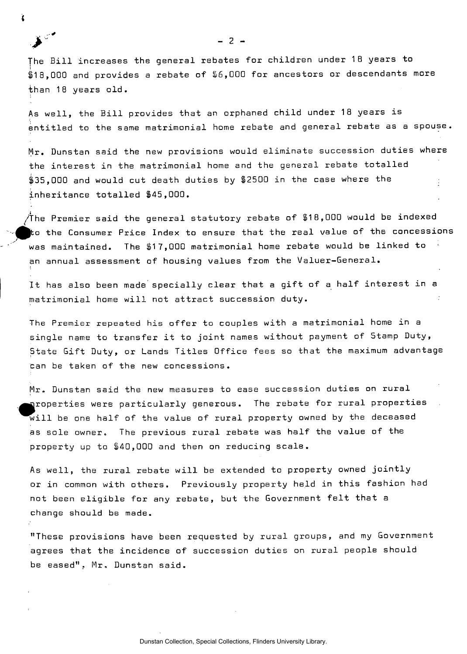The Bill increases the general rebates for children under 18 years to \$1 8,000 and provides a rebate of \$6,000 for ancestors or descendants more than 18 years old.

As well, the Bill provides that an orphaned child under 18 years is entitled to the same matrimonial home rebate and general rebate as a spouse.

Mr. Dunstan said the new provisions would eliminate succession duties where the interest in the matrimonial home and the general rebate totalled \$35,000 and would cut death duties by \$2500 in the case where the inheritance totalled \$45,000.

/The Premier said the general statutory rebate of  $$18,000$  would be indexed  $\,$  the Consumer Price Index to ensure that the real value of the concessions was maintained. The \$17,000 matrimonial home rebate would be linked to an annual assessment of housing values from the Valuer-General.

It has also been made specially clear that a gift of a half interest in a matrimonial home will not attract succession duty.

The Premier repeated his offer to couples with a matrimonial home in a single name to transfer it to joint names without payment of Stamp Duty, State Gift Duty, or Lands Titles Office fees so that the maximum advantage can be taken of the new concessions.

Mr. Dunstan said the new measures to ease succession duties on rural iroperties were particularly generous. The rebate for rural properties will be one half of the value of rural property owned by the deceased as sole owner. The previous rural rebate was half the value of the property up to \$40,000 and then on reducing scale.

As well, the rural rebate will be extended to property owned jointly or in common with others. Previously property held in this fashion had not been eligible for any rebate, but the Government felt that a change should be made.

"These provisions have been requested by rural groups, and my Government agrees that the incidence of succession duties on rural people should be eased", Mr. Dunstan said.

 $-2 -$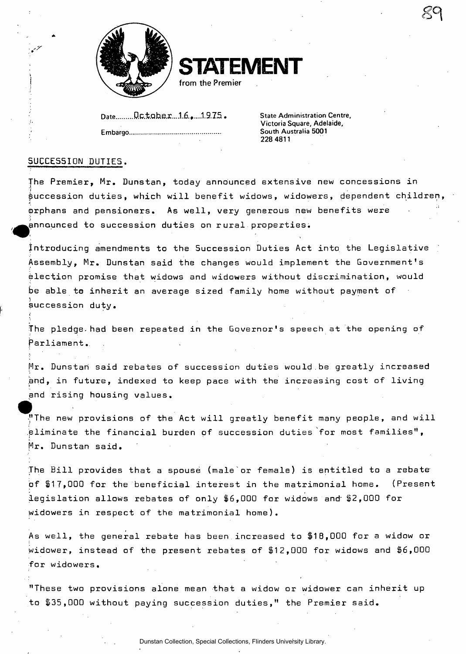

**STATEMENT** 

**from the Premier** 

Date Date **D.C.t.ahe.r...1.6.,....1.9.75.** State Administration Centre,

**Embargo South Australia 5001** 

**Victoria Square, Adelaide, 228 4811** 

*Qi* 

## SUCCESSION DUTIES.

The Premier, Mr. Dunstan, today announced extensive new concessions in **• i**  succession duties, which will benefit widows, widowers, dependent children, orphans and pensioners. As well, very generous new benefits were ^announced to succession duties on rural properties.

Introducing amendments to the Succession Duties Act into the Legislative Assembly, Mr. Dunstan said the changes would implement the Government's election promise that widows and widowers without discrimination, would be able to inherit an average sized family home without payment of succession duty.

The pledge.had been repeated in the Governor's speech at the opening of Parliament..

Mr. Dunstan said rebates of succession duties would be greatly increased and, in future, indexed to keep pace with the increasing cost of living and rising housing values.

"The new provisions of the Act will greatly benefit many people, and will eliminate the financial burden of succession duties for most families", Mr. Dunstan said.

The Bill provides that a spouse (male'or female) is entitled to a rebate of \$17,000 for the beneficial interest in the matrimonial home. (Present legislation allows rebates of only \$6,000 for widows and" \$2,000 for widowers in respect of the matrimonial home).

As well, the general rebate has been increased to \$18,000 for a widow or widower, instead of the present rebates of \$12,000 for widows and \$6,000 for widowers.

"These two provisions alone mean that a widow or widower can inherit up to \$35,000 without paying succession duties," the Premier said.